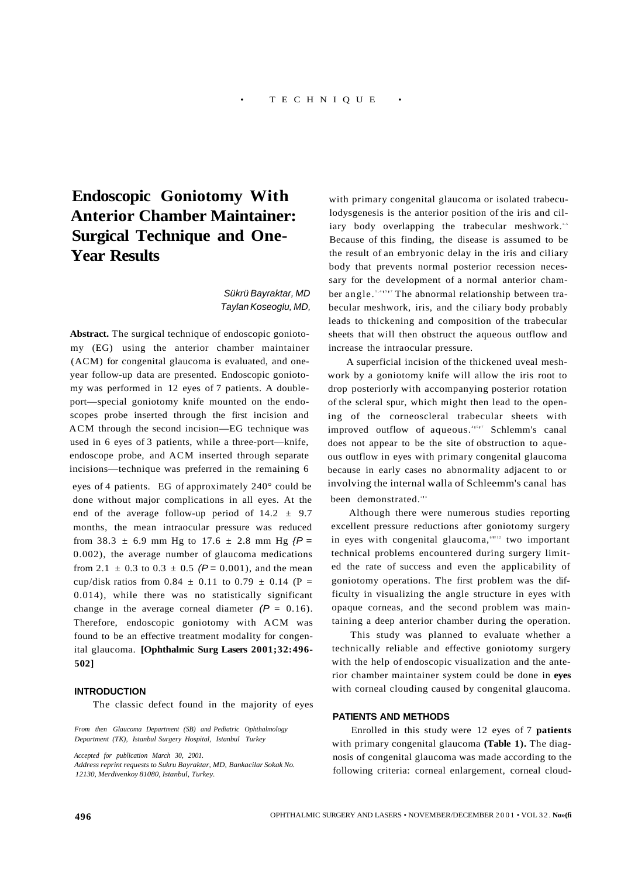# **Endoscopic Goniotomy With Anterior Chamber Maintainer: Surgical Technique and One-Year Results**

## Sükrü Bayraktar, MD Taylan Koseoglu, MD,

**Abstract.** The surgical technique of endoscopic goniotomy (EG) using the anterior chamber maintainer (ACM) for congenital glaucoma is evaluated, and oneyear follow-up data are presented. Endoscopic goniotomy was performed in 12 eyes of 7 patients. A doubleport—special goniotomy knife mounted on the endoscopes probe inserted through the first incision and ACM through the second incision—EG technique was used in 6 eyes of 3 patients, while a three-port—knife, endoscope probe, and ACM inserted through separate incisions—technique was preferred in the remaining 6 eyes of 4 patients. EG of approximately 240° could be done without major complications in all eyes. At the end of the average follow-up period of  $14.2 \pm 9.7$ months, the mean intraocular pressure was reduced from 38.3  $\pm$  6.9 mm Hg to 17.6  $\pm$  2.8 mm Hg  $\{P =$ 0.002), the average number of glaucoma medications from 2.1  $\pm$  0.3 to 0.3  $\pm$  0.5 (P = 0.001), and the mean cup/disk ratios from 0.84  $\pm$  0.11 to 0.79  $\pm$  0.14 (P = 0.014), while there was no statistically significant change in the average corneal diameter  $(P = 0.16)$ . Therefore, endoscopic goniotomy with ACM was found to be an effective treatment modality for congenital glaucoma. **[Ophthalmic Surg Lasers 2001;32:496- 502]** 

#### **INTRODUCTION**

The classic defect found in the majority of eyes

*From then Glaucoma Department (SB) and Pediatric Ophthalmology Department (TK), Istanbul Surgery Hospital, Istanbul Turkey* 

*Accepted for publication March 30, 2001.* 

*Address reprint requests to Sukru Bayraktar, MD, Bankacilar Sokak No. 12130, Merdivenkoy 81080, Istanbul, Turkey.* 

with primary congenital glaucoma or isolated trabeculodysgenesis is the anterior position of the iris and ciliary body overlapping the trabecular meshwork.<sup>1,5</sup> Because of this finding, the disease is assumed to be the result of an embryonic delay in the iris and ciliary body that prevents normal posterior recession necessary for the development of a normal anterior chamber angle.<sup>1,41517</sup> The abnormal relationship between trabecular meshwork, iris, and the ciliary body probably leads to thickening and composition of the trabecular sheets that will then obstruct the aqueous outflow and increase the intraocular pressure.

A superficial incision of the thickened uveal meshwork by a goniotomy knife will allow the iris root to drop posteriorly with accompanying posterior rotation of the scleral spur, which might then lead to the opening of the corneoscleral trabecular sheets with improved outflow of aqueous.<sup>41517</sup> Schlemm's canal does not appear to be the site of obstruction to aqueous outflow in eyes with primary congenital glaucoma because in early cases no abnormality adjacent to or involving the internal walla of Schleemm's canal has been demonstrated.<sup>213</sup>

Although there were numerous studies reporting excellent pressure reductions after goniotomy surgery in eyes with congenital glaucoma, "" two important technical problems encountered during surgery limited the rate of success and even the applicability of goniotomy operations. The first problem was the difficulty in visualizing the angle structure in eyes with opaque corneas, and the second problem was maintaining a deep anterior chamber during the operation.

This study was planned to evaluate whether a technically reliable and effective goniotomy surgery with the help of endoscopic visualization and the anterior chamber maintainer system could be done in **eyes**  with corneal clouding caused by congenital glaucoma.

## **PATIENTS AND METHODS**

Enrolled in this study were 12 eyes of 7 **patients**  with primary congenital glaucoma **(Table 1).** The diagnosis of congenital glaucoma was made according to the following criteria: corneal enlargement, corneal cloud-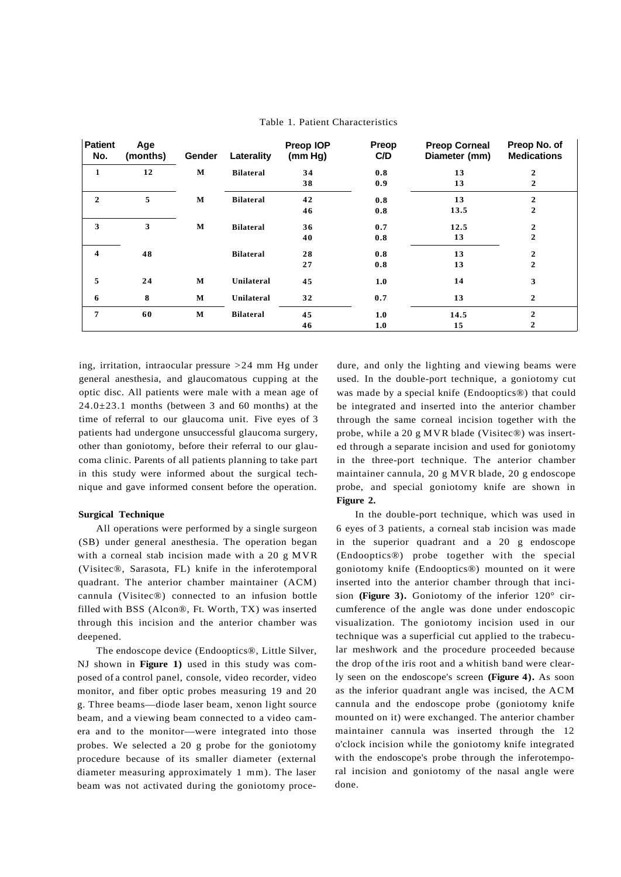| <b>Patient</b><br>No.   | Age<br>(months) | Gender | Laterality       | Preop IOP<br>(mm Hg) | Preop<br>C/D | <b>Preop Corneal</b><br>Diameter (mm) | Preop No. of<br><b>Medications</b> |
|-------------------------|-----------------|--------|------------------|----------------------|--------------|---------------------------------------|------------------------------------|
| 1                       | 12              | M      | <b>Bilateral</b> | 34                   | 0.8          | 13                                    | 2                                  |
|                         |                 |        |                  | 38                   | 0.9          | 13                                    | $\overline{2}$                     |
| $\mathbf{2}$            | 5               | M      | <b>Bilateral</b> | 42                   | 0.8          | 13                                    | 2                                  |
|                         |                 |        |                  | 46                   | 0.8          | 13.5                                  | $\overline{2}$                     |
| 3                       | 3               | M      | <b>Bilateral</b> | 36                   | 0.7          | 12.5                                  | 2                                  |
|                         |                 |        |                  | 40                   | 0.8          | 13                                    | $\overline{2}$                     |
| $\overline{\mathbf{4}}$ | 48              |        | <b>Bilateral</b> | 28                   | 0.8          | 13                                    | $\mathbf{2}$                       |
|                         |                 |        |                  | 27                   | 0.8          | 13                                    | $\overline{2}$                     |
| 5                       | 24              | M      | Unilateral       | 45                   | 1.0          | 14                                    | 3                                  |
| 6                       | 8               | М      | Unilateral       | 32                   | 0.7          | 13                                    | $\mathbf{2}$                       |
| 7                       | 60              | M      | <b>Bilateral</b> | 45                   | 1.0          | 14.5                                  | $\overline{2}$                     |
|                         |                 |        |                  | 46                   | 1.0          | 15                                    | $\mathbf{2}$                       |

## Table 1. Patient Characteristics

ing, irritation, intraocular pressure  $>24$  mm Hg under general anesthesia, and glaucomatous cupping at the optic disc. All patients were male with a mean age of  $24.0 \pm 23.1$  months (between 3 and 60 months) at the time of referral to our glaucoma unit. Five eyes of 3 patients had undergone unsuccessful glaucoma surgery, other than goniotomy, before their referral to our glaucoma clinic. Parents of all patients planning to take part in this study were informed about the surgical technique and gave informed consent before the operation.

#### **Surgical Technique**

All operations were performed by a single surgeon (SB) under general anesthesia. The operation began with a corneal stab incision made with a 20 g MVR (Visitec®, Sarasota, FL) knife in the inferotemporal quadrant. The anterior chamber maintainer (ACM) cannula (Visitec®) connected to an infusion bottle filled with BSS (Alcon®, Ft. Worth, TX) was inserted through this incision and the anterior chamber was deepened.

The endoscope device (Endooptics®, Little Silver, NJ shown in **Figure 1)** used in this study was composed of a control panel, console, video recorder, video monitor, and fiber optic probes measuring 19 and 20 g. Three beams—diode laser beam, xenon light source beam, and a viewing beam connected to a video camera and to the monitor—were integrated into those probes. We selected a 20 g probe for the goniotomy procedure because of its smaller diameter (external diameter measuring approximately 1 mm). The laser beam was not activated during the goniotomy proce-

dure, and only the lighting and viewing beams were used. In the double-port technique, a goniotomy cut was made by a special knife (Endooptics®) that could be integrated and inserted into the anterior chamber through the same corneal incision together with the probe, while a 20 g MVR blade (Visitec®) was inserted through a separate incision and used for goniotomy in the three-port technique. The anterior chamber maintainer cannula, 20 g MVR blade, 20 g endoscope probe, and special goniotomy knife are shown in **Figure 2.** 

In the double-port technique, which was used in 6 eyes of 3 patients, a corneal stab incision was made in the superior quadrant and a 20 g endoscope (Endooptics®) probe together with the special goniotomy knife (Endooptics®) mounted on it were inserted into the anterior chamber through that incision **(Figure 3).** Goniotomy of the inferior 120° circumference of the angle was done under endoscopic visualization. The goniotomy incision used in our technique was a superficial cut applied to the trabecular meshwork and the procedure proceeded because the drop of the iris root and a whitish band were clearly seen on the endoscope's screen **(Figure 4).** As soon as the inferior quadrant angle was incised, the ACM cannula and the endoscope probe (goniotomy knife mounted on it) were exchanged. The anterior chamber maintainer cannula was inserted through the 12 o'clock incision while the goniotomy knife integrated with the endoscope's probe through the inferotemporal incision and goniotomy of the nasal angle were done.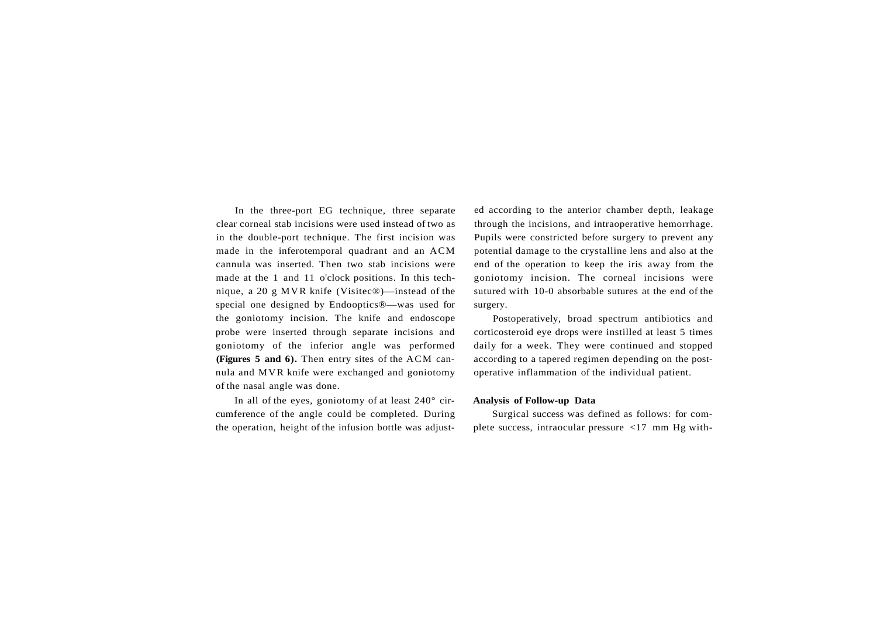In the three-port EG technique, three separate clear corneal stab incisions were used instead of two as in the double-port technique. The first incision was made in the inferotemporal quadrant and an ACM cannula was inserted. Then two stab incisions were made at the 1 and 11 o'clock positions. In this technique, a 20 g MVR knife (Visitec®)—instead of the special one designed by Endooptics®—was used for the goniotomy incision. The knife and endoscope probe were inserted through separate incisions and goniotomy of the inferior angle was performed **(Figures 5 and 6).** Then entry sites of the ACM cannula and MVR knife were exchanged and goniotomy of the nasal angle was done.

In all of the eyes, goniotomy of at least 240° circumference of the angle could be completed. During the operation, height of the infusion bottle was adjust-

ed according to the anterior chamber depth, leakage through the incisions, and intraoperative hemorrhage. Pupils were constricted before surgery to prevent any potential damage to the crystalline lens and also at the end of the operation to keep the iris away from the goniotomy incision. The corneal incisions were sutured with 10-0 absorbable sutures at the end of the surgery.

Postoperatively, broad spectrum antibiotics and corticosteroid eye drops were instilled at least 5 times daily for a week. They were continued and stopped according to a tapered regimen depending on the postoperative inflammation of the individual patient.

#### **Analysis of Follow-up Data**

Surgical success was defined as follows: for complete success, intraocular pressure <17 mm Hg with-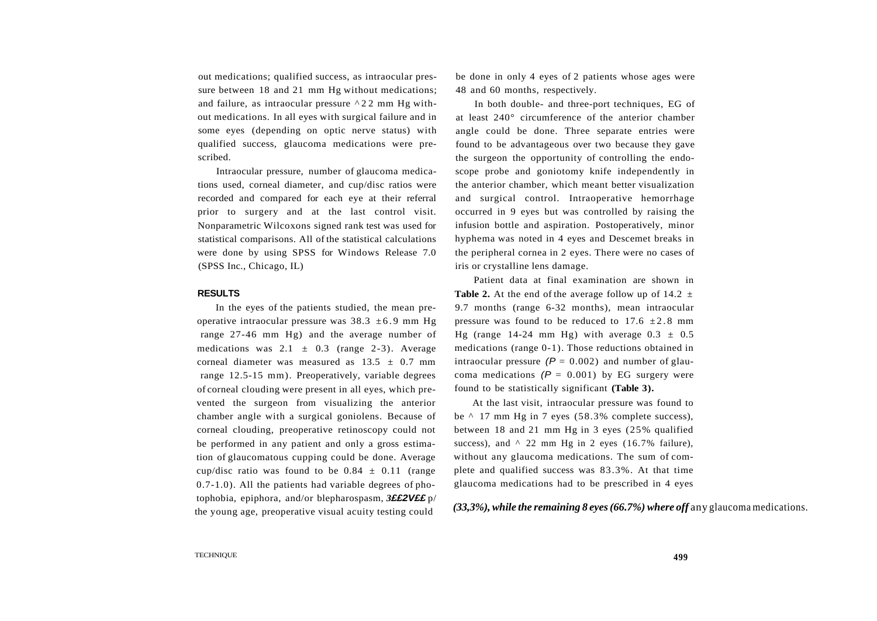out medications; qualified success, as intraocular pressure between 18 and 21 mm Hg without medications; and failure, as intraocular pressure ^2 2 mm Hg without medications. In all eyes with surgical failure and in some eyes (depending on optic nerve status) with qualified success, glaucoma medications were prescribed.

Intraocular pressure, number of glaucoma medications used, corneal diameter, and cup/disc ratios were recorded and compared for each eye at their referral prior to surgery and at the last control visit. Nonparametric Wilcoxons signed rank test was used for statistical comparisons. All of the statistical calculations were done by using SPSS for Windows Release 7.0 (SPSS Inc., Chicago, IL)

#### **RESULTS**

In the eyes of the patients studied, the mean preoperative intraocular pressure was  $38.3 \pm 6.9$  mm Hg range 27-46 mm Hg) and the average number of medications was  $2.1 \pm 0.3$  (range 2-3). Average corneal diameter was measured as  $13.5 \pm 0.7$  mm range 12.5-15 mm). Preoperatively, variable degrees of corneal clouding were present in all eyes, which prevented the surgeon from visualizing the anterior chamber angle with a surgical goniolens. Because of corneal clouding, preoperative retinoscopy could not be performed in any patient and only a gross estimation of glaucomatous cupping could be done. Average cup/disc ratio was found to be  $0.84 \pm 0.11$  (range 0.7-1.0). All the patients had variable degrees of photophobia, epiphora, and/or blepharospasm, *3***££2V££** p/ the young age, preoperative visual acuity testing could

be done in only 4 eyes of 2 patients whose ages were 48 and 60 months, respectively.

In both double- and three-port techniques, EG of at least 240° circumference of the anterior chamber angle could be done. Three separate entries were found to be advantageous over two because they gave the surgeon the opportunity of controlling the endoscope probe and goniotomy knife independently in the anterior chamber, which meant better visualization and surgical control. Intraoperative hemorrhage occurred in 9 eyes but was controlled by raising the infusion bottle and aspiration. Postoperatively, minor hyphema was noted in 4 eyes and Descemet breaks in the peripheral cornea in 2 eyes. There were no cases of iris or crystalline lens damage.

Patient data at final examination are shown in **Table 2.** At the end of the average follow up of 14.2  $\pm$ 9.7 months (range 6-32 months), mean intraocular pressure was found to be reduced to  $17.6 \pm 2.8$  mm Hg (range 14-24 mm Hg) with average  $0.3 \pm 0.5$ medications (range 0-1). Those reductions obtained in intraocular pressure  $(P = 0.002)$  and number of glaucoma medications  $(P = 0.001)$  by EG surgery were found to be statistically significant **(Table 3).** 

At the last visit, intraocular pressure was found to be ^ 17 mm Hg in 7 eyes (58.3% complete success), between 18 and 21 mm Hg in 3 eyes (25% qualified success), and  $\land$  22 mm Hg in 2 eyes (16.7% failure), without any glaucoma medications. The sum of complete and qualified success was 83.3%. At that time glaucoma medications had to be prescribed in 4 eyes

*(33,3%), while the remaining 8 eyes (66.7%) where off* any glaucoma medications.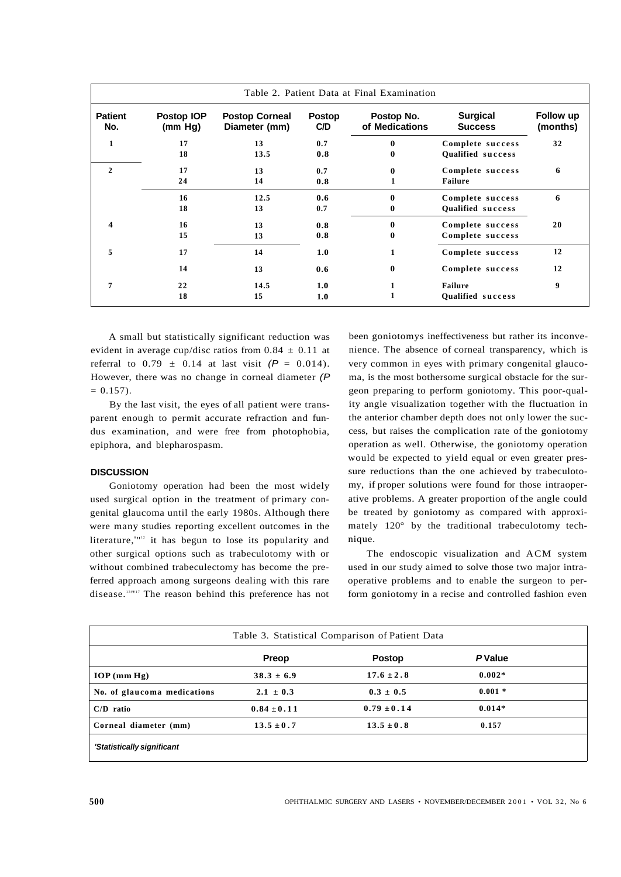|                       | Table 2. Patient Data at Final Examination |                                        |                      |                              |                                   |                       |
|-----------------------|--------------------------------------------|----------------------------------------|----------------------|------------------------------|-----------------------------------|-----------------------|
| <b>Patient</b><br>No. | Postop IOP<br>(mm Hg)                      | <b>Postop Corneal</b><br>Diameter (mm) | <b>Postop</b><br>C/D | Postop No.<br>of Medications | <b>Surgical</b><br><b>Success</b> | Follow up<br>(months) |
| 1                     | 17                                         | 13                                     | 0.7                  | $\mathbf{0}$                 | Complete success                  | 32                    |
|                       | 18                                         | 13.5                                   | 0.8                  | 0                            | <b>Qualified success</b>          |                       |
| $\mathbf{2}$          | 17                                         | 13                                     | 0.7                  | $\mathbf{0}$                 | Complete success                  | 6                     |
|                       | 24                                         | 14                                     | 0.8                  |                              | <b>Failure</b>                    |                       |
|                       | 16                                         | 12.5                                   | 0.6                  | $\mathbf{0}$                 | Complete success                  | 6                     |
|                       | 18                                         | 13                                     | 0.7                  | 0                            | Qualified success                 |                       |
| ◢                     | 16                                         | 13                                     | 0.8                  | $\bf{0}$                     | Complete success                  | 20                    |
|                       | 15                                         | 13                                     | 0.8                  | $\bf{0}$                     | Complete success                  |                       |
| 5                     | 17                                         | 14                                     | 1.0                  | 1                            | Complete success                  | 12                    |
|                       | 14                                         | 13                                     | 0.6                  | $\mathbf{0}$                 | Complete success                  | 12                    |
| 7                     | 22                                         | 14.5                                   | 1.0                  | 1                            | <b>Failure</b>                    | 9                     |
|                       | 18                                         | 15                                     | 1.0                  |                              | Qualified success                 |                       |

A small but statistically significant reduction was evident in average cup/disc ratios from  $0.84 \pm 0.11$  at referral to  $0.79 \pm 0.14$  at last visit  $(P = 0.014)$ . However, there was no change in corneal diameter (P  $= 0.157$ .

By the last visit, the eyes of all patient were transparent enough to permit accurate refraction and fundus examination, and were free from photophobia, epiphora, and blepharospasm.

## **DISCUSSION**

Goniotomy operation had been the most widely used surgical option in the treatment of primary congenital glaucoma until the early 1980s. Although there were many studies reporting excellent outcomes in the literature,<sup>*s*112</sup> it has begun to lose its popularity and other surgical options such as trabeculotomy with or without combined trabeculectomy has become the preferred approach among surgeons dealing with this rare disease.<sup>13117</sup> The reason behind this preference has not

been goniotomys ineffectiveness but rather its inconvenience. The absence of corneal transparency, which is very common in eyes with primary congenital glaucoma, is the most bothersome surgical obstacle for the surgeon preparing to perform goniotomy. This poor-quality angle visualization together with the fluctuation in the anterior chamber depth does not only lower the success, but raises the complication rate of the goniotomy operation as well. Otherwise, the goniotomy operation would be expected to yield equal or even greater pressure reductions than the one achieved by trabeculotomy, if proper solutions were found for those intraoperative problems. A greater proportion of the angle could be treated by goniotomy as compared with approximately 120° by the traditional trabeculotomy technique.

The endoscopic visualization and ACM system used in our study aimed to solve those two major intraoperative problems and to enable the surgeon to perform goniotomy in a recise and controlled fashion even

| Table 3. Statistical Comparison of Patient Data |                 |                 |               |  |  |  |
|-------------------------------------------------|-----------------|-----------------|---------------|--|--|--|
|                                                 | <b>Preop</b>    | <b>Postop</b>   | <b>PValue</b> |  |  |  |
| IOP(mm Hg)                                      | $38.3 \pm 6.9$  | $17.6 \pm 2.8$  | $0.002*$      |  |  |  |
| No. of glaucoma medications                     | $2.1 \pm 0.3$   | $0.3 \pm 0.5$   | $0.001 *$     |  |  |  |
| $C/D$ ratio                                     | $0.84 \pm 0.11$ | $0.79 \pm 0.14$ | $0.014*$      |  |  |  |
| Corneal diameter (mm)                           | $13.5 \pm 0.7$  | $13.5 \pm 0.8$  | 0.157         |  |  |  |
| 'Statistically significant                      |                 |                 |               |  |  |  |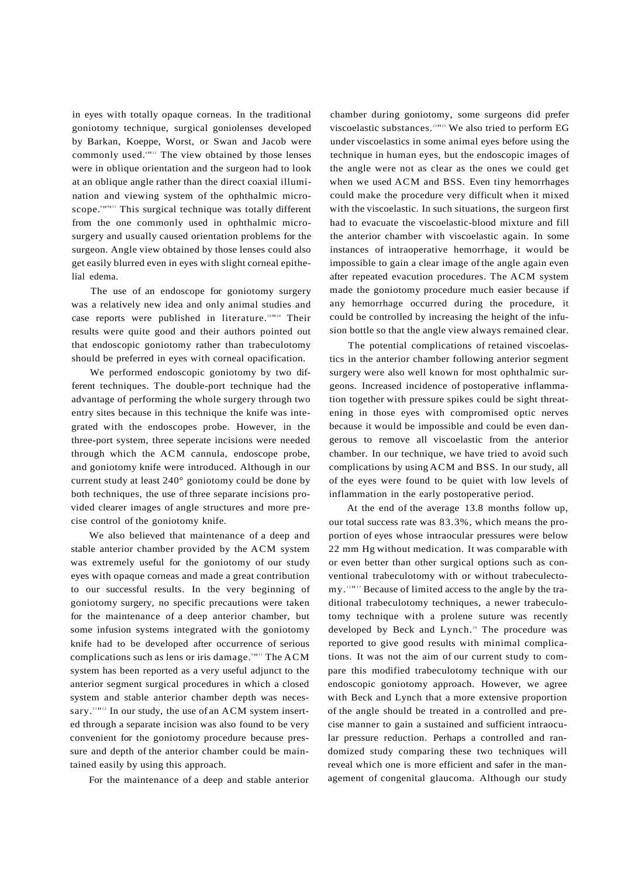in eyes with totally opaque corneas. In the traditional goniotomy technique, surgical goniolenses developed by Barkan, Koeppe, Worst, or Swan and Jacob were commonly used.<sup>6111</sup> The view obtained by those lenses were in oblique orientation and the surgeon had to look at an oblique angle rather than the direct coaxial illumination and viewing system of the ophthalmic microscope.<sup>*CHS111</sup>* This surgical technique was totally different</sup> from the one commonly used in ophthalmic microsurgery and usually caused orientation problems for the surgeon. Angle view obtained by those lenses could also get easily blurred even in eyes with slight corneal epithelial edema.

The use of an endoscope for goniotomy surgery was a relatively new idea and only animal studies and case reports were published in literature.<sup>181120</sup> Their results were quite good and their authors pointed out that endoscopic goniotomy rather than trabeculotomy should be preferred in eyes with corneal opacification.

We performed endoscopic goniotomy by two different techniques. The double-port technique had the advantage of performing the whole surgery through two entry sites because in this technique the knife was integrated with the endoscopes probe. However, in the three-port system, three seperate incisions were needed through which the ACM cannula, endoscope probe, and goniotomy knife were introduced. Although in our current study at least 240° goniotomy could be done by both techniques, the use of three separate incisions provided clearer images of angle structures and more precise control of the goniotomy knife.

We also believed that maintenance of a deep and stable anterior chamber provided by the ACM system was extremely useful for the goniotomy of our study eyes with opaque corneas and made a great contribution to our successful results. In the very beginning of goniotomy surgery, no specific precautions were taken for the maintenance of a deep anterior chamber, but some infusion systems integrated with the goniotomy knife had to be developed after occurrence of serious complications such as lens or iris damage. "" The ACM system has been reported as a very useful adjunct to the anterior segment surgical procedures in which a closed system and stable anterior chamber depth was necessary.<sup>21 1122</sup> In our study, the use of an ACM system inserted through a separate incision was also found to be very convenient for the goniotomy procedure because pressure and depth of the anterior chamber could be maintained easily by using this approach.

For the maintenance of a deep and stable anterior

chamber during goniotomy, some surgeons did prefer viscoelastic substances.<sup>23 1125</sup> We also tried to perform EG under viscoelastics in some animal eyes before using the technique in human eyes, but the endoscopic images of the angle were not as clear as the ones we could get when we used ACM and BSS. Even tiny hemorrhages could make the procedure very difficult when it mixed with the viscoelastic. In such situations, the surgeon first had to evacuate the viscoelastic-blood mixture and fill the anterior chamber with viscoelastic again. In some instances of intraoperative hemorrhage, it would be impossible to gain a clear image of the angle again even after repeated evacution procedures. The ACM system made the goniotomy procedure much easier because if any hemorrhage occurred during the procedure, it could be controlled by increasing the height of the infusion bottle so that the angle view always remained clear.

The potential complications of retained viscoelastics in the anterior chamber following anterior segment surgery were also well known for most ophthalmic surgeons. Increased incidence of postoperative inflammation together with pressure spikes could be sight threatening in those eyes with compromised optic nerves because it would be impossible and could be even dangerous to remove all viscoelastic from the anterior chamber. In our technique, we have tried to avoid such complications by using ACM and BSS. In our study, all of the eyes were found to be quiet with low levels of inflammation in the early postoperative period.

At the end of the average 13.8 months follow up, our total success rate was 83.3%, which means the proportion of eyes whose intraocular pressures were below 22 mm Hg without medication. It was comparable with or even better than other surgical options such as conventional trabeculotomy with or without trabeculectomy.<sup>13</sup>"<sup>17</sup> Because of limited access to the angle by the traditional trabeculotomy techniques, a newer trabeculotomy technique with a prolene suture was recently developed by Beck and Lynch.<sup>26</sup> The procedure was reported to give good results with minimal complications. It was not the aim of our current study to compare this modified trabeculotomy technique with our endoscopic goniotomy approach. However, we agree with Beck and Lynch that a more extensive proportion of the angle should be treated in a controlled and precise manner to gain a sustained and sufficient intraocular pressure reduction. Perhaps a controlled and randomized study comparing these two techniques will reveal which one is more efficient and safer in the management of congenital glaucoma. Although our study